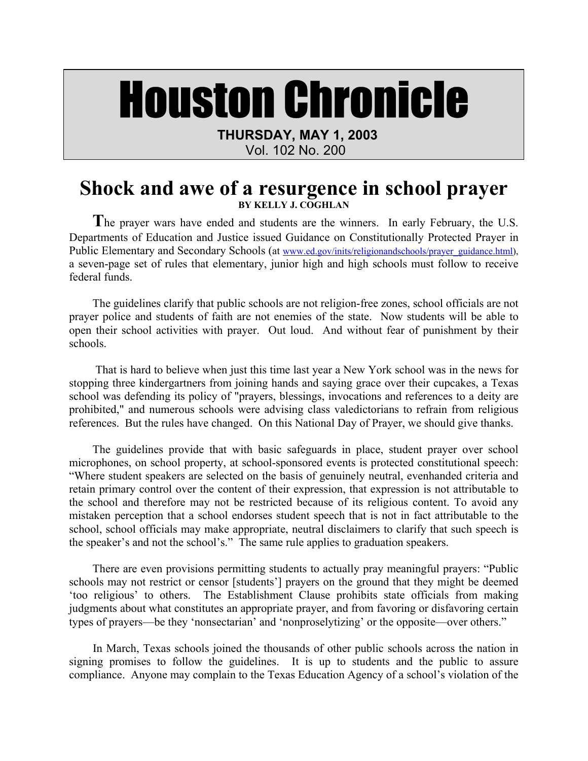## Houston Chronicle

 **THURSDAY, MAY 1, 2003** 

Vol. 102 No. 200

## **Shock and awe of a resurgence in school prayer BY KELLY J. COGHLAN**

The prayer wars have ended and students are the winners. In early February, the U.S. Departments of Education and Justice issued Guidance on Constitutionally Protected Prayer in Public Elementary and Secondary Schools (at www.ed.gov/inits/religionandschools/prayer\_guidance.html), a seven-page set of rules that elementary, junior high and high schools must follow to receive federal funds.

The guidelines clarify that public schools are not religion-free zones, school officials are not prayer police and students of faith are not enemies of the state. Now students will be able to open their school activities with prayer. Out loud. And without fear of punishment by their schools.

 That is hard to believe when just this time last year a New York school was in the news for stopping three kindergartners from joining hands and saying grace over their cupcakes, a Texas school was defending its policy of "prayers, blessings, invocations and references to a deity are prohibited," and numerous schools were advising class valedictorians to refrain from religious references. But the rules have changed. On this National Day of Prayer, we should give thanks.

The guidelines provide that with basic safeguards in place, student prayer over school microphones, on school property, at school-sponsored events is protected constitutional speech: "Where student speakers are selected on the basis of genuinely neutral, evenhanded criteria and retain primary control over the content of their expression, that expression is not attributable to the school and therefore may not be restricted because of its religious content. To avoid any mistaken perception that a school endorses student speech that is not in fact attributable to the school, school officials may make appropriate, neutral disclaimers to clarify that such speech is the speaker's and not the school's." The same rule applies to graduation speakers.

There are even provisions permitting students to actually pray meaningful prayers: "Public schools may not restrict or censor [students'] prayers on the ground that they might be deemed 'too religious' to others. The Establishment Clause prohibits state officials from making judgments about what constitutes an appropriate prayer, and from favoring or disfavoring certain types of prayers—be they 'nonsectarian' and 'nonproselytizing' or the opposite—over others."

 In March, Texas schools joined the thousands of other public schools across the nation in signing promises to follow the guidelines. It is up to students and the public to assure compliance. Anyone may complain to the Texas Education Agency of a school's violation of the